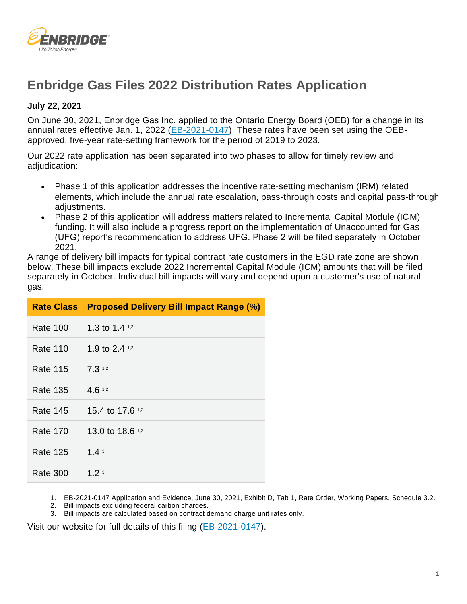

# **Enbridge Gas Files 2022 Distribution Rates Application**

### **July 22, 2021**

On June 30, 2021, Enbridge Gas Inc. applied to the Ontario Energy Board (OEB) for a change in its annual rates effective Jan. 1, 2022 [\(EB-2021-0147\)](https://www.enbridgegas.com/about-enbridge-gas/regulatory). These rates have been set using the OEBapproved, five-year rate-setting framework for the period of 2019 to 2023.

Our 2022 rate application has been separated into two phases to allow for timely review and adjudication:

- Phase 1 of this application addresses the incentive rate-setting mechanism (IRM) related elements, which include the annual rate escalation, pass-through costs and capital pass-through adiustments.
- Phase 2 of this application will address matters related to Incremental Capital Module (ICM) funding. It will also include a progress report on the implementation of Unaccounted for Gas (UFG) report's recommendation to address UFG. Phase 2 will be filed separately in October 2021.

A range of delivery bill impacts for typical contract rate customers in the EGD rate zone are shown below. These bill impacts exclude 2022 Incremental Capital Module (ICM) amounts that will be filed separately in October. Individual bill impacts will vary and depend upon a customer's use of natural gas.

|                 | <b>Rate Class</b> Proposed Delivery Bill Impact Range (%) |
|-----------------|-----------------------------------------------------------|
| Rate 100        | 1.3 to 1.4 $1.2$                                          |
| <b>Rate 110</b> | 1.9 to 2.4 $1.2$                                          |
| Rate 115        | $7.3112}$                                                 |
| Rate 135        | 4.612                                                     |
| Rate 145        | 15.4 to 17.6 1.2                                          |
| <b>Rate 170</b> | 13.0 to 18.6 1,2                                          |
| <b>Rate 125</b> | 1.4 <sup>3</sup>                                          |
| <b>Rate 300</b> | 1.2 <sup>3</sup>                                          |

1. EB-2021-0147 Application and Evidence, June 30, 2021, Exhibit D, Tab 1, Rate Order, Working Papers, Schedule 3.2.

- 2. Bill impacts excluding federal carbon charges.
- 3. Bill impacts are calculated based on contract demand charge unit rates only.

Visit our website for full details of this filing [\(EB-2021-0147\)](https://www.enbridgegas.com/about-enbridge-gas/regulatory).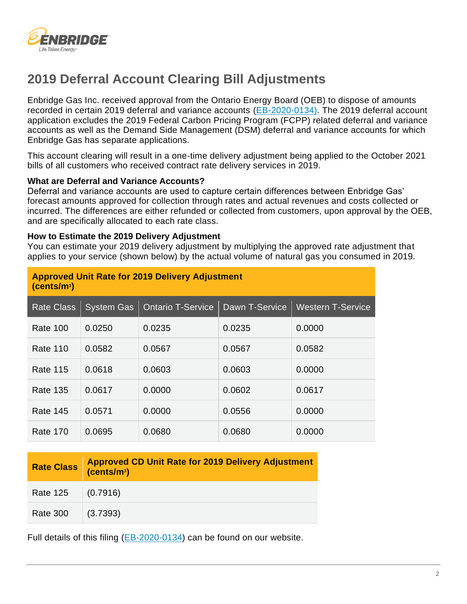

# **2019 Deferral Account Clearing Bill Adjustments**

Enbridge Gas Inc. received approval from the Ontario Energy Board (OEB) to dispose of amounts recorded in certain 2019 deferral and variance accounts [\(EB-2020-0134\).](https://www.enbridgegas.com/about-enbridge-gas/regulatory) The 2019 deferral account application excludes the 2019 Federal Carbon Pricing Program (FCPP) related deferral and variance accounts as well as the Demand Side Management (DSM) deferral and variance accounts for which Enbridge Gas has separate applications.

This account clearing will result in a one-time delivery adjustment being applied to the October 2021 bills of all customers who received contract rate delivery services in 2019.

### **What are Deferral and Variance Accounts?**

Deferral and variance accounts are used to capture certain differences between Enbridge Gas' forecast amounts approved for collection through rates and actual revenues and costs collected or incurred. The differences are either refunded or collected from customers, upon approval by the OEB, and are specifically allocated to each rate class.

#### **How to Estimate the 2019 Delivery Adjustment**

You can estimate your 2019 delivery adjustment by multiplying the approved rate adjustment that applies to your service (shown below) by the actual volume of natural gas you consumed in 2019.

| <b>Approved Unit Rate for 2019 Delivery Adjustment</b><br>(cents/m <sup>3</sup> ) |                   |                          |                |                          |  |
|-----------------------------------------------------------------------------------|-------------------|--------------------------|----------------|--------------------------|--|
| <b>Rate Class</b>                                                                 | <b>System Gas</b> | <b>Ontario T-Service</b> | Dawn T-Service | <b>Western T-Service</b> |  |
| <b>Rate 100</b>                                                                   | 0.0250            | 0.0235                   | 0.0235         | 0.0000                   |  |
| <b>Rate 110</b>                                                                   | 0.0582            | 0.0567                   | 0.0567         | 0.0582                   |  |
| Rate 115                                                                          | 0.0618            | 0.0603                   | 0.0603         | 0.0000                   |  |
| <b>Rate 135</b>                                                                   | 0.0617            | 0.0000                   | 0.0602         | 0.0617                   |  |
| Rate 145                                                                          | 0.0571            | 0.0000                   | 0.0556         | 0.0000                   |  |
| Rate 170                                                                          | 0.0695            | 0.0680                   | 0.0680         | 0.0000                   |  |

|                 | Rate Class Approved CD Unit Rate for 2019 Delivery Adjustment |
|-----------------|---------------------------------------------------------------|
| <b>Rate 125</b> | (0.7916)                                                      |
| <b>Rate 300</b> | (3.7393)                                                      |

Full details of this filing [\(EB-2020-0134\)](https://www.enbridgegas.com/about-enbridge-gas/regulatory) can be found on our website.